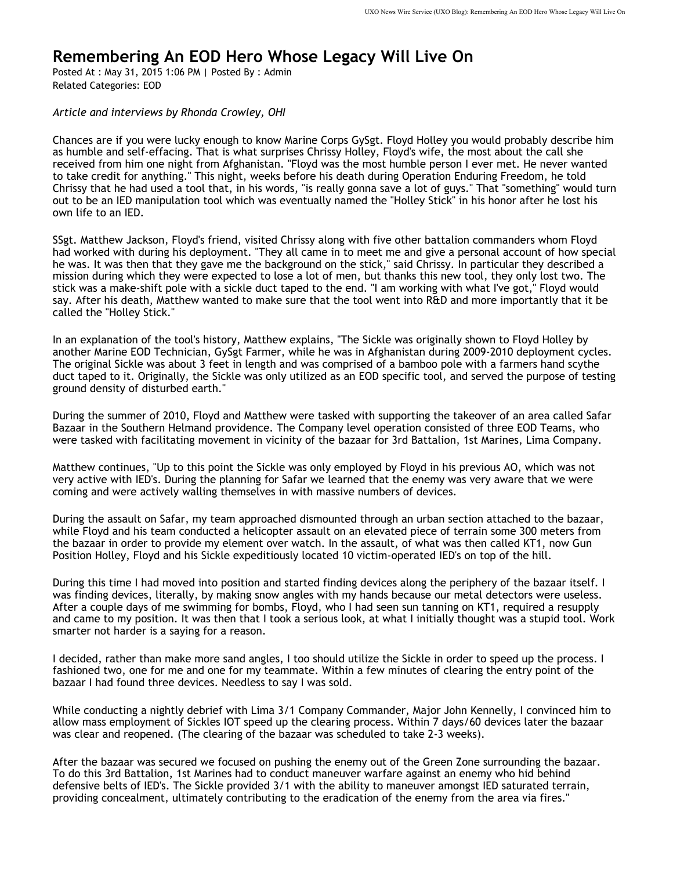## **Remembering An EOD Hero Whose Legacy Will Live On**

Posted At : May 31, 2015 1:06 PM | Posted By : Admin Related Categories: EOD

*Article and interviews by Rhonda Crowley, OHI*

Chances are if you were lucky enough to know Marine Corps GySgt. Floyd Holley you would probably describe him as humble and self-effacing. That is what surprises Chrissy Holley, Floyd's wife, the most about the call she received from him one night from Afghanistan. "Floyd was the most humble person I ever met. He never wanted to take credit for anything." This night, weeks before his death during Operation Enduring Freedom, he told Chrissy that he had used a tool that, in his words, "is really gonna save a lot of guys." That "something" would turn out to be an IED manipulation tool which was eventually named the "Holley Stick" in his honor after he lost his own life to an IED.

SSgt. Matthew Jackson, Floyd's friend, visited Chrissy along with five other battalion commanders whom Floyd had worked with during his deployment. "They all came in to meet me and give a personal account of how special he was. It was then that they gave me the background on the stick," said Chrissy. In particular they described a mission during which they were expected to lose a lot of men, but thanks this new tool, they only lost two. The stick was a make-shift pole with a sickle duct taped to the end. "I am working with what I've got," Floyd would say. After his death, Matthew wanted to make sure that the tool went into R&D and more importantly that it be called the "Holley Stick."

In an explanation of the tool's history, Matthew explains, "The Sickle was originally shown to Floyd Holley by another Marine EOD Technician, GySgt Farmer, while he was in Afghanistan during 2009-2010 deployment cycles. The original Sickle was about 3 feet in length and was comprised of a bamboo pole with a farmers hand scythe duct taped to it. Originally, the Sickle was only utilized as an EOD specific tool, and served the purpose of testing ground density of disturbed earth."

During the summer of 2010, Floyd and Matthew were tasked with supporting the takeover of an area called Safar Bazaar in the Southern Helmand providence. The Company level operation consisted of three EOD Teams, who were tasked with facilitating movement in vicinity of the bazaar for 3rd Battalion, 1st Marines, Lima Company.

Matthew continues, "Up to this point the Sickle was only employed by Floyd in his previous AO, which was not very active with IED's. During the planning for Safar we learned that the enemy was very aware that we were coming and were actively walling themselves in with massive numbers of devices.

During the assault on Safar, my team approached dismounted through an urban section attached to the bazaar, while Floyd and his team conducted a helicopter assault on an elevated piece of terrain some 300 meters from the bazaar in order to provide my element over watch. In the assault, of what was then called KT1, now Gun Position Holley, Floyd and his Sickle expeditiously located 10 victim-operated IED's on top of the hill.

During this time I had moved into position and started finding devices along the periphery of the bazaar itself. I was finding devices, literally, by making snow angles with my hands because our metal detectors were useless. After a couple days of me swimming for bombs, Floyd, who I had seen sun tanning on KT1, required a resupply and came to my position. It was then that I took a serious look, at what I initially thought was a stupid tool. Work smarter not harder is a saying for a reason.

I decided, rather than make more sand angles, I too should utilize the Sickle in order to speed up the process. I fashioned two, one for me and one for my teammate. Within a few minutes of clearing the entry point of the bazaar I had found three devices. Needless to say I was sold.

While conducting a nightly debrief with Lima 3/1 Company Commander, Major John Kennelly, I convinced him to allow mass employment of Sickles IOT speed up the clearing process. Within 7 days/60 devices later the bazaar was clear and reopened. (The clearing of the bazaar was scheduled to take 2-3 weeks).

After the bazaar was secured we focused on pushing the enemy out of the Green Zone surrounding the bazaar. To do this 3rd Battalion, 1st Marines had to conduct maneuver warfare against an enemy who hid behind defensive belts of IED's. The Sickle provided 3/1 with the ability to maneuver amongst IED saturated terrain, providing concealment, ultimately contributing to the eradication of the enemy from the area via fires."